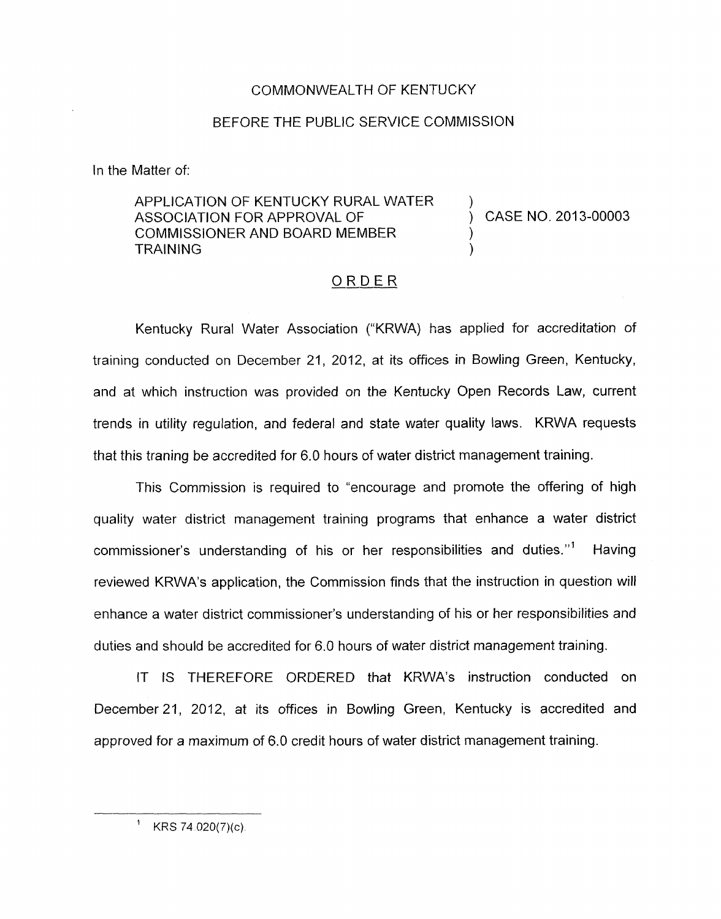## COMMONWEALTH OF KENTUCKY

## BEFORE THE PUBLIC SERVICE COMMISSION

In the Matter of:

## APPLICATION OF KENTUCKY RURAL WATER ASSOCIATION FOR APPROVAL OF  $(1, 2013)$  CASE NO. 2013-00003 COMMISSIONER AND BOARD MEMBER **TRAINING**

## ORDER

Kentucky Rural Water Association ("KRWA) has applied for accreditation of training conducted on December 21, 2012, at its offices in Bowling Green, Kentucky, and at which instruction was provided on the Kentucky Open Records Law, current trends in utility regulation, and federal and state water quality laws. KRWA requests that this traning be accredited for 6.0 hours of water district management training.

This Commission is required to "encourage and promote the offering of high quality water district management training programs that enhance a water district commissioner's understanding of his or her responsibilities and duties."' Having reviewed KRWA's application, the Commission finds that the instruction in question will enhance a water district commissioner's understanding of his or her responsibilities and duties and should be accredited for 6.0 hours of water district management training.

IT IS THEREFORE ORDERED that KRWA's instruction conducted on December 21, 2012, at its offices in Bowling Green, Kentucky is accredited and approved for a maximum of 6.0 credit hours of water district management training.

<sup>&#</sup>x27; KRS 74 *020(7)(c)*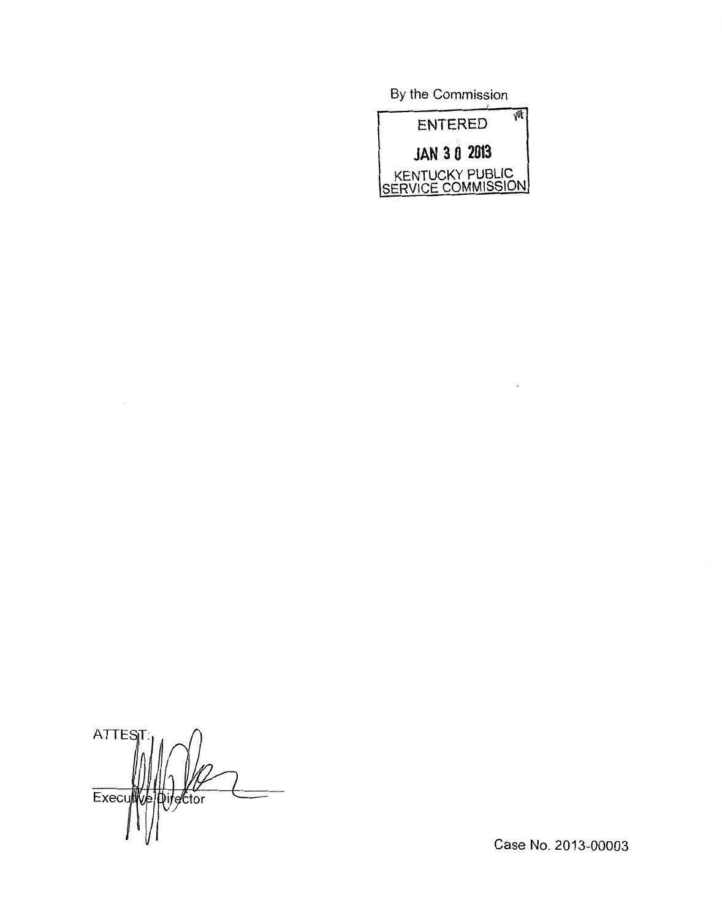By the Commission



 $\mathbf{r}$ 

**ATTES** Executive pirector

Case No. 2013-00003